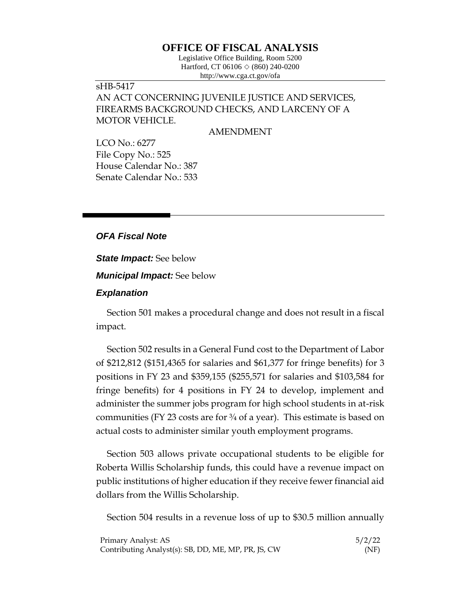## **OFFICE OF FISCAL ANALYSIS**

Legislative Office Building, Room 5200 Hartford, CT 06106  $\Diamond$  (860) 240-0200 http://www.cga.ct.gov/ofa

## sHB-5417 AN ACT CONCERNING JUVENILE JUSTICE AND SERVICES, FIREARMS BACKGROUND CHECKS, AND LARCENY OF A MOTOR VEHICLE.

AMENDMENT

LCO No.: 6277 File Copy No.: 525 House Calendar No.: 387 Senate Calendar No.: 533

## *OFA Fiscal Note*

*State Impact:* See below

*Municipal Impact:* See below

## *Explanation*

Section 501 makes a procedural change and does not result in a fiscal impact.

Section 502 results in a General Fund cost to the Department of Labor of \$212,812 (\$151,4365 for salaries and \$61,377 for fringe benefits) for 3 positions in FY 23 and \$359,155 (\$255,571 for salaries and \$103,584 for fringe benefits) for 4 positions in FY 24 to develop, implement and administer the summer jobs program for high school students in at-risk communities (FY 23 costs are for  $\frac{3}{4}$  of a year). This estimate is based on actual costs to administer similar youth employment programs.

Section 503 allows private occupational students to be eligible for Roberta Willis Scholarship funds, this could have a revenue impact on public institutions of higher education if they receive fewer financial aid dollars from the Willis Scholarship.

Section 504 results in a revenue loss of up to \$30.5 million annually

| Primary Analyst: AS                                 | 5/2/22 |
|-----------------------------------------------------|--------|
| Contributing Analyst(s): SB, DD, ME, MP, PR, JS, CW | (NF)   |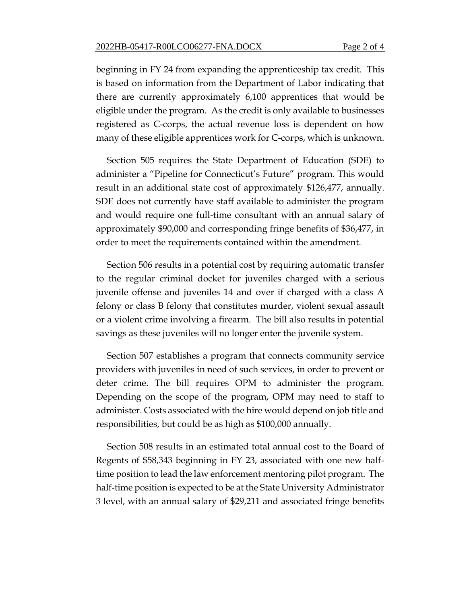beginning in FY 24 from expanding the apprenticeship tax credit. This is based on information from the Department of Labor indicating that there are currently approximately 6,100 apprentices that would be eligible under the program. As the credit is only available to businesses registered as C-corps, the actual revenue loss is dependent on how many of these eligible apprentices work for C-corps, which is unknown.

Section 505 requires the State Department of Education (SDE) to administer a "Pipeline for Connecticut's Future" program. This would result in an additional state cost of approximately \$126,477, annually. SDE does not currently have staff available to administer the program and would require one full-time consultant with an annual salary of approximately \$90,000 and corresponding fringe benefits of \$36,477, in order to meet the requirements contained within the amendment.

Section 506 results in a potential cost by requiring automatic transfer to the regular criminal docket for juveniles charged with a serious juvenile offense and juveniles 14 and over if charged with a class A felony or class B felony that constitutes murder, violent sexual assault or a violent crime involving a firearm. The bill also results in potential savings as these juveniles will no longer enter the juvenile system.

Section 507 establishes a program that connects community service providers with juveniles in need of such services, in order to prevent or deter crime. The bill requires OPM to administer the program. Depending on the scope of the program, OPM may need to staff to administer. Costs associated with the hire would depend on job title and responsibilities, but could be as high as \$100,000 annually.

Section 508 results in an estimated total annual cost to the Board of Regents of \$58,343 beginning in FY 23, associated with one new halftime position to lead the law enforcement mentoring pilot program. The half-time position is expected to be at the State University Administrator 3 level, with an annual salary of \$29,211 and associated fringe benefits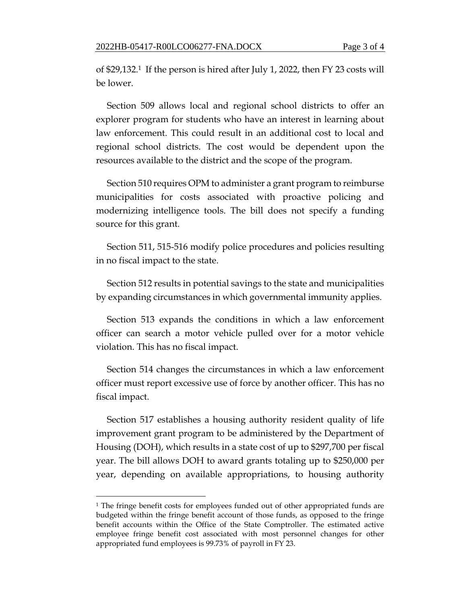of \$29,132.1 If the person is hired after July 1, 2022, then FY 23 costs will be lower.

Section 509 allows local and regional school districts to offer an explorer program for students who have an interest in learning about law enforcement. This could result in an additional cost to local and regional school districts. The cost would be dependent upon the resources available to the district and the scope of the program.

Section 510 requires OPM to administer a grant program to reimburse municipalities for costs associated with proactive policing and modernizing intelligence tools. The bill does not specify a funding source for this grant.

Section 511, 515-516 modify police procedures and policies resulting in no fiscal impact to the state.

Section 512 results in potential savings to the state and municipalities by expanding circumstances in which governmental immunity applies.

Section 513 expands the conditions in which a law enforcement officer can search a motor vehicle pulled over for a motor vehicle violation. This has no fiscal impact.

Section 514 changes the circumstances in which a law enforcement officer must report excessive use of force by another officer. This has no fiscal impact.

Section 517 establishes a housing authority resident quality of life improvement grant program to be administered by the Department of Housing (DOH), which results in a state cost of up to \$297,700 per fiscal year. The bill allows DOH to award grants totaling up to \$250,000 per year, depending on available appropriations, to housing authority

<sup>1</sup> The fringe benefit costs for employees funded out of other appropriated funds are budgeted within the fringe benefit account of those funds, as opposed to the fringe benefit accounts within the Office of the State Comptroller. The estimated active employee fringe benefit cost associated with most personnel changes for other appropriated fund employees is 99.73% of payroll in FY 23.